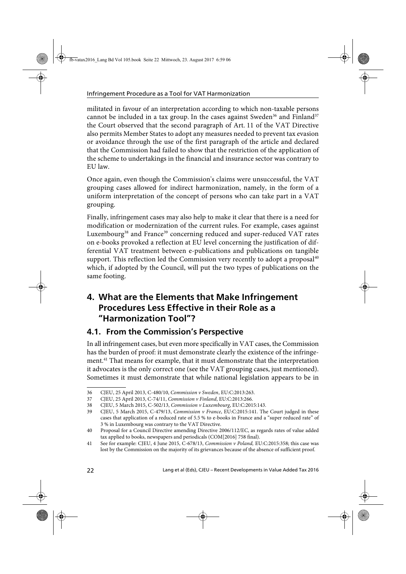militated in favour of an interpretation according to which non-taxable persons cannot be included in a tax group. In the cases against Sweden<sup>36</sup> and Finland<sup>37</sup> the Court observed that the second paragraph of Art. 11 of the VAT Directive also permits Member States to adopt any measures needed to prevent tax evasion or avoidance through the use of the first paragraph of the article and declared that the Commission had failed to show that the restriction of the application of the scheme to undertakings in the financial and insurance sector was contrary to EU law.

Once again, even though the Commission's claims were unsuccessful, the VAT grouping cases allowed for indirect harmonization, namely, in the form of a uniform interpretation of the concept of persons who can take part in a VAT grouping.

Finally, infringement cases may also help to make it clear that there is a need for modification or modernization of the current rules. For example, cases against Luxembourg<sup>38</sup> and France<sup>39</sup> concerning reduced and super-reduced VAT rates on e-books provoked a reflection at EU level concerning the justification of differential VAT treatment between e-publications and publications on tangible support. This reflection led the Commission very recently to adopt a proposal $40$ which, if adopted by the Council, will put the two types of publications on the same footing.

## **4. What are the Elements that Make Infringement Procedures Less Effective in their Role as a "Harmonization Tool"?**

## **4.1. From the Commission's Perspective**

In all infringement cases, but even more specifically in VAT cases, the Commission has the burden of proof: it must demonstrate clearly the existence of the infringement.41 That means for example, that it must demonstrate that the interpretation it advocates is the only correct one (see the VAT grouping cases, just mentioned). Sometimes it must demonstrate that while national legislation appears to be in

<sup>36</sup> CJEU, 25 April 2013, C-480/10, Commission v Sweden, EU:C:2013:263.

<sup>37</sup> CJEU, 25 April 2013, C-74/11, Commission v Finland, EU:C:2013:266.

<sup>38</sup> CJEU, 5 March 2015, C-502/13, Commission v Luxembourg, EU:C:2015:143.

<sup>39</sup> CJEU, 5 March 2015, C-479/13, Commission v France, EU:C:2015:141. The Court judged in these cases that application of a reduced rate of 5.5 % to e-books in France and a "super reduced rate" of 3 % in Luxembourg was contrary to the VAT Directive.

<sup>40</sup> Proposal for a Council Directive amending Directive 2006/112/EC, as regards rates of value added tax applied to books, newspapers and periodicals (COM[2016] 758 final).

<sup>41</sup> See for example: CJEU, 4 June 2015, C-678/13, Commission v Poland, EU:C:2015:358; this case was lost by the Commission on the majority of its grievances because of the absence of sufficient proof.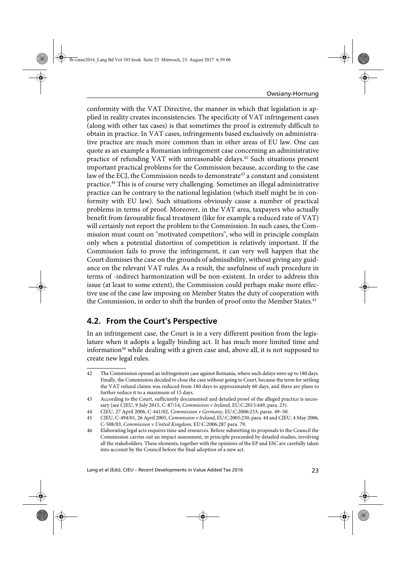conformity with the VAT Directive, the manner in which that legislation is applied in reality creates inconsistencies. The specificity of VAT infringement cases (along with other tax cases) is that sometimes the proof is extremely difficult to obtain in practice. In VAT cases, infringements based exclusively on administrative practice are much more common than in other areas of EU law. One can quote as an example a Romanian infringement case concerning an administrative practice of refunding VAT with unreasonable delays.<sup>42</sup> Such situations present important practical problems for the Commission because, according to the case law of the ECJ, the Commission needs to demonstrate<sup>43</sup> a constant and consistent practice.44 This is of course very challenging. Sometimes an illegal administrative practice can be contrary to the national legislation (which itself might be in conformity with EU law). Such situations obviously cause a number of practical problems in terms of proof. Moreover, in the VAT area, taxpayers who actually benefit from favourable fiscal treatment (like for example a reduced rate of VAT) will certainly not report the problem to the Commission. In such cases, the Commission must count on "motivated competitors", who will in principle complain only when a potential distortion of competition is relatively important. If the Commission fails to prove the infringement, it can very well happen that the Court dismisses the case on the grounds of admissibility, without giving any guidance on the relevant VAT rules. As a result, the usefulness of such procedure in terms of -indirect harmonization will be non-existent. In order to address this issue (at least to some extent), the Commission could perhaps make more effective use of the case law imposing on Member States the duty of cooperation with the Commission, in order to shift the burden of proof onto the Member States.<sup>45</sup>

### **4.2. From the Court's Perspective**

In an infringement case, the Court is in a very different position from the legislature when it adopts a legally binding act. It has much more limited time and information<sup>46</sup> while dealing with a given case and, above all, it is not supposed to create new legal rules.

<sup>42</sup> The Commission opened an infringement case against Romania, where such delays were up to 180 days. Finally, the Commission decided to close the case without going to Court, because the term for settling the VAT refund claims was reduced from 180 days to approximately 60 days, and there are plans to further reduce it to a maximum of 15 days.

<sup>43</sup> According to the Court, sufficiently documented and detailed proof of the alleged practice is necessary (see CJEU, 9 July 2015, C-87/14, Commission v Ireland, EU:C:2015:449, para. 23).

<sup>44</sup> CJEU, 27 April 2006, C-441/02, Commission v Germany, EU:C:2006:253, paras. 49–50.

<sup>45</sup> CJEU, C-494/01, 26 April 2005, Commission v Ireland, EU:C:2005:250, para. 44 and CJEU, 4 May 2006, C-508/03, Commission v United Kingdom, EU:C:2006:287 para. 79.

<sup>46</sup> Elaborating legal acts requires time and resources. Before submitting its proposals to the Council the Commission carries out an impact assessment, in principle proceeded by detailed studies, involving all the stakeholders. These elements, together with the opinions of the EP and ESC are carefully taken into account by the Council before the final adoption of a new act.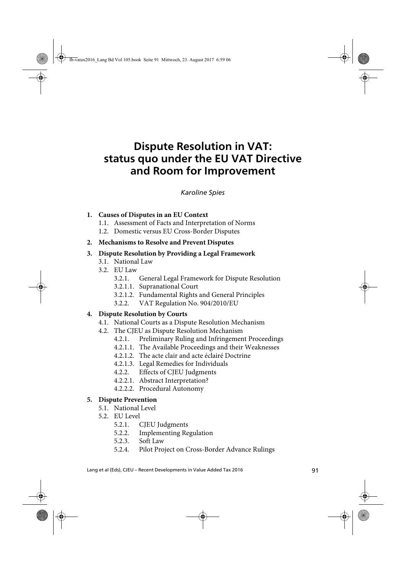# **Dispute Resolution in VAT: status quo under the EU VAT Directive and Room for Improvement**

Spies Dispute Resolution in VAT *Karoline Spies*

#### **1. Causes of Disputes in an EU Context**

- 1.1. Assessment of Facts and Interpretation of Norms
- 1.2. Domestic versus EU Cross-Border Disputes

#### **2. Mechanisms to Resolve and Prevent Disputes**

#### **3. Dispute Resolution by Providing a Legal Framework**

- 3.1. National Law
- 3.2. EU Law
	- 3.2.1. General Legal Framework for Dispute Resolution
	- 3.2.1.1. Supranational Court
	- 3.2.1.2. Fundamental Rights and General Principles
	- 3.2.2. VAT Regulation No. 904/2010/EU

#### **4. Dispute Resolution by Courts**

- 4.1. National Courts as a Dispute Resolution Mechanism
- 4.2. The CJEU as Dispute Resolution Mechanism
	- 4.2.1. Preliminary Ruling and Infringement Proceedings
	- 4.2.1.1. The Available Proceedings and their Weaknesses
	- 4.2.1.2. The acte clair and acte éclairé Doctrine
	- 4.2.1.3. Legal Remedies for Individuals
	- 4.2.2. Effects of CJEU Judgments
	- 4.2.2.1. Abstract Interpretation?
	- 4.2.2.2. Procedural Autonomy

#### **5. Dispute Prevention**

- 5.1. National Level
- 5.2. EU Level
	- 5.2.1. CJEU Judgments
	- 5.2.2. Implementing Regulation
	- 5.2.3. Soft Law
	- 5.2.4. Pilot Project on Cross-Border Advance Rulings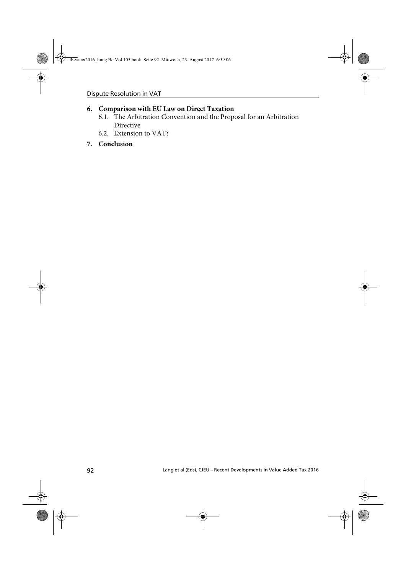### **6. Comparison with EU Law on Direct Taxation**

- 6.1. The Arbitration Convention and the Proposal for an Arbitration Directive
- 6.2. Extension to VAT?

### **7. Conclusion**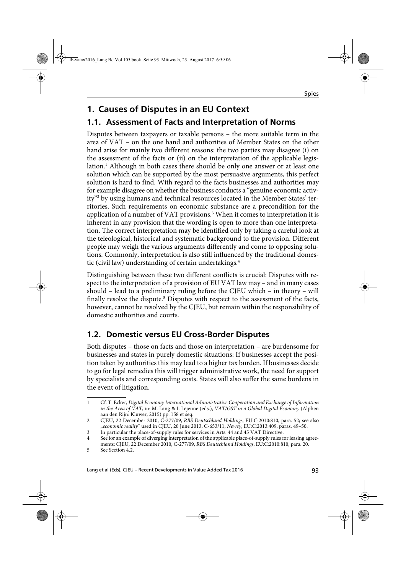## **1. Causes of Disputes in an EU Context**

## **1.1. Assessment of Facts and Interpretation of Norms**

Disputes between taxpayers or taxable persons – the more suitable term in the area of VAT – on the one hand and authorities of Member States on the other hand arise for mainly two different reasons: the two parties may disagree (i) on the assessment of the facts or (ii) on the interpretation of the applicable legislation.<sup>1</sup> Although in both cases there should be only one answer or at least one solution which can be supported by the most persuasive arguments, this perfect solution is hard to find. With regard to the facts businesses and authorities may for example disagree on whether the business conducts a "genuine economic activity"2 by using humans and technical resources located in the Member States' territories. Such requirements on economic substance are a precondition for the application of a number of VAT provisions.<sup>3</sup> When it comes to interpretation it is inherent in any provision that the wording is open to more than one interpretation. The correct interpretation may be identified only by taking a careful look at the teleological, historical and systematic background to the provision. Different people may weigh the various arguments differently and come to opposing solutions. Commonly, interpretation is also still influenced by the traditional domestic (civil law) understanding of certain undertakings.<sup>4</sup>

Distinguishing between these two different conflicts is crucial: Disputes with respect to the interpretation of a provision of EU VAT law may – and in many cases should – lead to a preliminary ruling before the CJEU which – in theory – will finally resolve the dispute.<sup>5</sup> Disputes with respect to the assessment of the facts, however, cannot be resolved by the CJEU, but remain within the responsibility of domestic authorities and courts.

## **1.2. Domestic versus EU Cross-Border Disputes**

Both disputes – those on facts and those on interpretation – are burdensome for businesses and states in purely domestic situations: If businesses accept the position taken by authorities this may lead to a higher tax burden. If businesses decide to go for legal remedies this will trigger administrative work, the need for support by specialists and corresponding costs. States will also suffer the same burdens in the event of litigation.

<sup>1</sup> Cf. T. Ecker, Digital Economy International Administrative Cooperation and Exchange of Information in the Area of VAT, in: M. Lang & I. Lejeune (eds.), VAT/GST in a Global Digital Economy (Alphen aan den Rijn: Kluwer, 2015) pp. 158 et seq.

<sup>2</sup> CJEU, 22 December 2010, C-277/09, RBS Deutschland Holdings, EU:C:2010:810, para. 52; see also "economic reality" used in CJEU, 20 June 2013, C-653/11, Newey, EU:C:2013:409, paras. 49-50.

<sup>3</sup> In particular the place-of-supply rules for services in Arts. 44 and 45 VAT Directive.

See for an example of diverging interpretation of the applicable place-of-supply rules for leasing agreements: CJEU, 22 December 2010, C-277/09, RBS Deutschland Holdings, EU:C:2010:810, para. 20.

<sup>5</sup> See Section 4.2.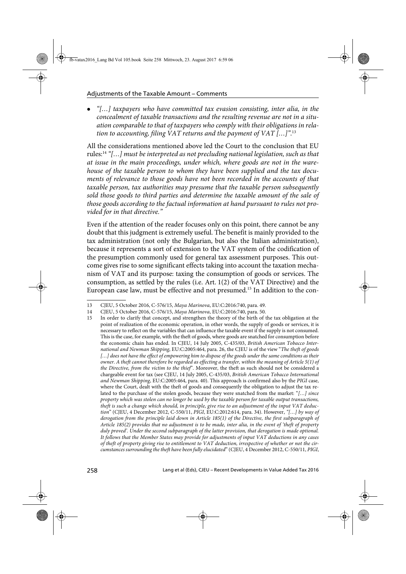"[…] taxpayers who have committed tax evasion consisting, inter alia, in the concealment of taxable transactions and the resulting revenue are not in a situation comparable to that of taxpayers who comply with their obligations in relation to accounting, filing VAT returns and the payment of VAT [...]". $^{13}$ 

All the considerations mentioned above led the Court to the conclusion that EU rules:14 "[…] must be interpreted as not precluding national legislation, such as that at issue in the main proceedings, under which, where goods are not in the warehouse of the taxable person to whom they have been supplied and the tax documents of relevance to those goods have not been recorded in the accounts of that taxable person, tax authorities may presume that the taxable person subsequently sold those goods to third parties and determine the taxable amount of the sale of those goods according to the factual information at hand pursuant to rules not provided for in that directive."

Even if the attention of the reader focuses only on this point, there cannot be any doubt that this judgment is extremely useful. The benefit is mainly provided to the tax administration (not only the Bulgarian, but also the Italian administration), because it represents a sort of extension to the VAT system of the codification of the presumption commonly used for general tax assessment purposes. This outcome gives rise to some significant effects taking into account the taxation mechanism of VAT and its purpose: taxing the consumption of goods or services. The consumption, as settled by the rules (i.e. Art. 1(2) of the VAT Directive) and the European case law, must be effective and not presumed.15 In addition to the con-

<sup>13</sup> CJEU, 5 October 2016, C-576/15, Maya Marinova, EU:C:2016:740, para. 49.<br>14 CJEU, 5 October 2016, C-576/15, Maya Marinova, EU:C:2016:740, para. 50.

<sup>14</sup> CJEU, 5 October 2016, C-576/15, Maya Marinova, EU:C:2016:740, para. 50.

<sup>15</sup> In order to clarify that concept, and strengthen the theory of the birth of the tax obligation at the point of realization of the economic operation, in other words, the supply of goods or services, it is necessary to reflect on the variables that can influence the taxable event if the supply is not consumed. This is the case, for example, with the theft of goods, where goods are snatched for consumption before the economic chain has ended. In CJEU, 14 July 2005, C-435/03, British American Tobacco International and Newman Shipping, EU:C:2005:464, para. 26, the CJEU is of the view "The theft of goods [...] does not have the effect of empowering him to dispose of the goods under the same conditions as their owner. A theft cannot therefore be regarded as effecting a transfer, within the meaning of Article 5(1) of the Directive, from the victim to the thief". Moreover, the theft as such should not be considered a chargeable event for tax (see CJEU, 14 July 2005, C-435/03, British American Tobacco International and Newman Shipping, EU:C:2005:464, para. 40). This approach is confirmed also by the PIGI case, where the Court, dealt with the theft of goods and consequently the obligation to adjust the tax related to the purchase of the stolen goods, because they were snatched from the market: "[…] since property which was stolen can no longer be used by the taxable person for taxable output transactions, theft is such a change which should, in principle, give rise to an adjustment of the input VAT deduction" (CJEU, 4 December 2012, C-550/11, PIGI, EU:C:2012:614, para. 34). However, "[…] by way of derogation from the principle laid down in Article 185(1) of the Directive, the first subparagraph of Article 185(2) provides that no adjustment is to be made, inter alia, in the event of 'theft of property duly proved'. Under the second subparagraph of the latter provision, that derogation is made optional. It follows that the Member States may provide for adjustments of input VAT deductions in any cases of theft of property giving rise to entitlement to VAT deduction, irrespective of whether or not the circumstances surrounding the theft have been fully elucidated" (CJEU, 4 December 2012, C-550/11, PIGI,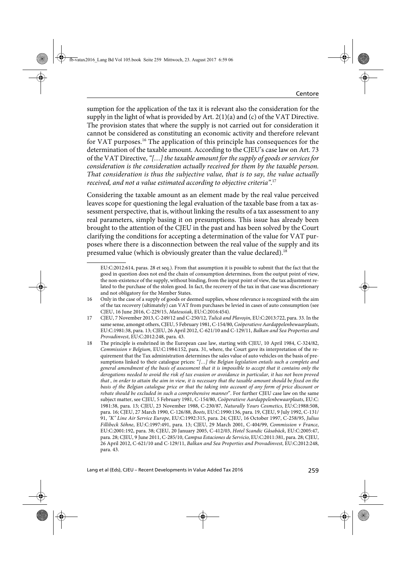sumption for the application of the tax it is relevant also the consideration for the supply in the light of what is provided by Art. 2(1)(a) and (c) of the VAT Directive. The provision states that where the supply is not carried out for consideration it cannot be considered as constituting an economic activity and therefore relevant for VAT purposes.<sup>16</sup> The application of this principle has consequences for the determination of the taxable amount. According to the CJEU's case law on Art. 73 of the VAT Directive, "[…] the taxable amount for the supply of goods or services for consideration is the consideration actually received for them by the taxable person. That consideration is thus the subjective value, that is to say, the value actually received, and not a value estimated according to objective criteria". $^{17}$ 

Considering the taxable amount as an element made by the real value perceived leaves scope for questioning the legal evaluation of the taxable base from a tax assessment perspective, that is, without linking the results of a tax assessment to any real parameters, simply basing it on presumptions. This issue has already been brought to the attention of the CJEU in the past and has been solved by the Court clarifying the conditions for accepting a determination of the value for VAT purposes where there is a disconnection between the real value of the supply and its presumed value (which is obviously greater than the value declared).18

<sup>15</sup> EU:C:2012:614, paras. 28 et seq.). From that assumption it is possible to submit that the fact that the good in question does not end the chain of consumption determines, from the output point of view, the non-existence of the supply, without binding, from the input point of view, the tax adjustment related to the purchase of the stolen good. In fact, the recovery of the tax in that case was discretionary and not obligatory for the Member States.

<sup>16</sup> Only in the case of a supply of goods or deemed supplies, whose relevance is recognized with the aim of the tax recovery (ultimately) can VAT from purchases be levied in cases of auto consumption (see CJEU, 16 June 2016, C-229/15, Mateusiak, EU:C:2016:454).

<sup>17</sup> CJEU, 7 November 2013, C-249/12 and C-250/12, Tulică and Plavoşin, EU:C:2013:722, para. 33. In the same sense, amongst others, CJEU, 5 February 1981, C-154/80, Coöperatieve Aardappelenbewaarplaats, EU:C:1981:38, para. 13; CJEU, 26 April 2012, C-621/10 and C-129/11, Balkan and Sea Properties and Provadinvest, EU:C:2012:248, para. 43.

<sup>18</sup> The principle is enshrined in the European case law, starting with CJEU, 10 April 1984, C-324/82, Commission v Belgium, EU:C:1984:152, para. 31, where, the Court gave its interpretation of the requirement that the Tax administration determines the sales value of auto vehicles on the basis of presumptions linked to their catalogue prices: "[...] the Belgian legislation entails such a complete and general amendment of the basis of assessment that it is impossible to accept that it contains only the derogations needed to avoid the risk of tax evasion or avoidance in particular, it has not been proved that , in order to attain the aim in view, it is necessary that the taxable amount should be fixed on the basis of the Belgian catalogue price or that the taking into account of any form of price discount or rebate should be excluded in such a comprehensive manner". For further CJEU case law on the same subject matter, see CJEU, 5 February 1981, C-154/80, Coöperatieve Aardappelenbewaarplaats, EU:C: 1981:38, para. 13; CJEU, 23 November 1988, C-230/87, Naturally Yours Cosmetics, EU:C:1988:508, para. 16; CJEU, 27 March 1990, C-126/88, Boots, EU:C:1990:136, para. 19, CJEU, 9 July 1992, C-131/ 91, "K" Line Air Service Europe, EU:C:1992:315, para. 24; CJEU, 16 October 1997, C-258/95, Julius Fillibeck Söhne, EU:C:1997:491, para. 13; CJEU, 29 March 2001, C-404/99, Commission v France, EU:C:2001:192, para. 38; CJEU, 20 January 2005, C-412/03, Hotel Scandic Gåsabäck, EU:C:2005:47, para. 28; CJEU, 9 June 2011, C-285/10, Campsa Estaciones de Servicio, EU:C:2011:381, para. 28; CJEU, 26 April 2012, C-621/10 and C-129/11, Balkan and Sea Properties and Provadinvest, EU:C:2012:248, para. 43.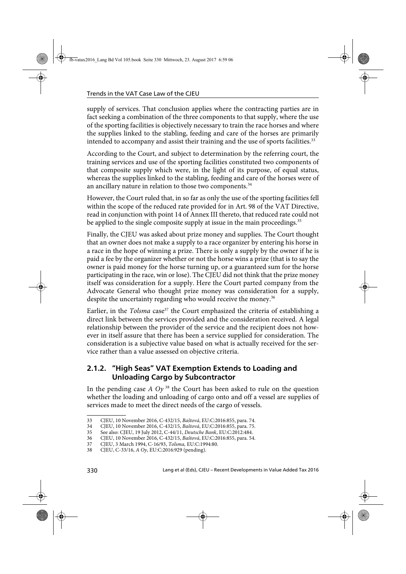supply of services. That conclusion applies where the contracting parties are in fact seeking a combination of the three components to that supply, where the use of the sporting facilities is objectively necessary to train the race horses and where the supplies linked to the stabling, feeding and care of the horses are primarily intended to accompany and assist their training and the use of sports facilities.<sup>33</sup>

According to the Court, and subject to determination by the referring court, the training services and use of the sporting facilities constituted two components of that composite supply which were, in the light of its purpose, of equal status, whereas the supplies linked to the stabling, feeding and care of the horses were of an ancillary nature in relation to those two components.<sup>34</sup>

However, the Court ruled that, in so far as only the use of the sporting facilities fell within the scope of the reduced rate provided for in Art. 98 of the VAT Directive, read in conjunction with point 14 of Annex III thereto, that reduced rate could not be applied to the single composite supply at issue in the main proceedings.<sup>35</sup>

Finally, the CJEU was asked about prize money and supplies. The Court thought that an owner does not make a supply to a race organizer by entering his horse in a race in the hope of winning a prize. There is only a supply by the owner if he is paid a fee by the organizer whether or not the horse wins a prize (that is to say the owner is paid money for the horse turning up, or a guaranteed sum for the horse participating in the race, win or lose). The CJEU did not think that the prize money itself was consideration for a supply. Here the Court parted company from the Advocate General who thought prize money was consideration for a supply, despite the uncertainty regarding who would receive the money.<sup>36</sup>

Earlier, in the Tolsma case<sup>37</sup> the Court emphasized the criteria of establishing a direct link between the services provided and the consideration received. A legal relationship between the provider of the service and the recipient does not however in itself assure that there has been a service supplied for consideration. The consideration is a subjective value based on what is actually received for the service rather than a value assessed on objective criteria.

### **2.1.2. "High Seas" VAT Exemption Extends to Loading and Unloading Cargo by Subcontractor**

In the pending case  $A Oy^{38}$  the Court has been asked to rule on the question whether the loading and unloading of cargo onto and off a vessel are supplies of services made to meet the direct needs of the cargo of vessels.

<sup>33</sup> CJEU, 10 November 2016, C-432/15, Baštová, EU:C:2016:855, para. 74.

<sup>34</sup> CJEU, 10 November 2016, C-432/15, Baštová, EU:C:2016:855, para. 75.

<sup>35</sup> See also: CJEU, 19 July 2012, C-44/11, Deutsche Bank, EU:C:2012:484.<br>36 CJEU, 10 November 2016, C-432/15, Baštová, EU:C:2016:855, para, 54

<sup>36</sup> CJEU, 10 November 2016, C-432/15, Baštová, EU:C:2016:855, para. 54.

<sup>37</sup> CJEU, 3 March 1994, C-16/93, Tolsma, EU:C:1994:80.

<sup>38</sup> CJEU, C-33/16, A Oy, EU:C:2016:929 (pending).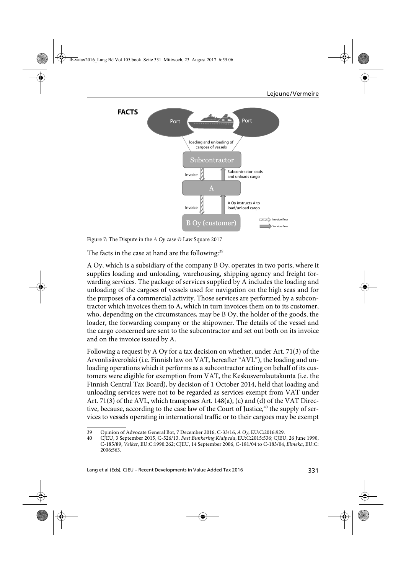

Figure 7: The Dispute in the A Oy case © Law Square 2017

The facts in the case at hand are the following:<sup>39</sup>

A Oy, which is a subsidiary of the company B Oy, operates in two ports, where it supplies loading and unloading, warehousing, shipping agency and freight forwarding services. The package of services supplied by A includes the loading and unloading of the cargoes of vessels used for navigation on the high seas and for the purposes of a commercial activity. Those services are performed by a subcontractor which invoices them to A, which in turn invoices them on to its customer, who, depending on the circumstances, may be B Oy, the holder of the goods, the loader, the forwarding company or the shipowner. The details of the vessel and the cargo concerned are sent to the subcontractor and set out both on its invoice and on the invoice issued by A.

Following a request by A Oy for a tax decision on whether, under Art. 71(3) of the Arvonlisäverolaki (i.e. Finnish law on VAT, hereafter "AVL"), the loading and unloading operations which it performs as a subcontractor acting on behalf of its customers were eligible for exemption from VAT, the Keskusverolautakunta (i.e. the Finnish Central Tax Board), by decision of 1 October 2014, held that loading and unloading services were not to be regarded as services exempt from VAT under Art. 71(3) of the AVL, which transposes Art. 148(a), (c) and (d) of the VAT Directive, because, according to the case law of the Court of Justice,<sup>40</sup> the supply of services to vessels operating in international traffic or to their cargoes may be exempt

<sup>39</sup> Opinion of Advocate General Bot, 7 December 2016, C-33/16, A Oy, EU:C:2016:929.<br>30 CIEU 3 September 2015 C-526/13 Fast Bunkering Klaipeda EU:C:2015:536: CIEU

<sup>40</sup> CJEU, 3 September 2015, C-526/13, Fast Bunkering Klaipeda, EU:C:2015:536; CJEU, 26 June 1990, C-185/89, Velker, EU:C:1990:262; CJEU, 14 September 2006, C-181/04 to C-183/04, Elmeka, EU:C: 2006:563.